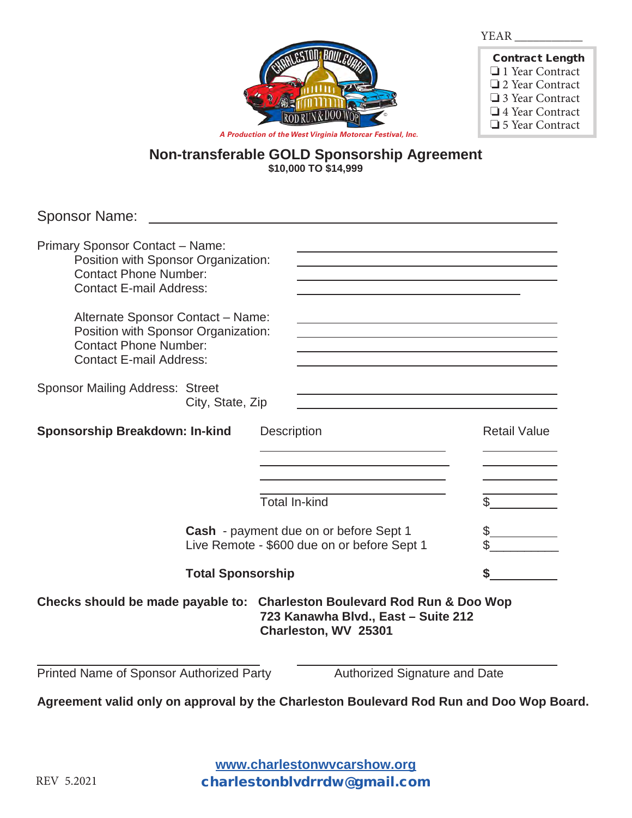

| <b>Contract Length</b> |
|------------------------|
| $\Box$ 1 Year Contract |
| □ 2 Year Contract      |
| □ 3 Year Contract      |
| $\Box$ 4 Year Contract |
| □ 5 Year Contract      |

*A Production of the West Virginia Motorcar Festival, Inc.*

### **Non-transferable GOLD Sponsorship Agreement \$10,000 TO \$14,999**

| <b>Sponsor Name:</b>                                                                                                                                                                                                                                                                   |                                                                                                                                                                                                                                                                                                                          |                     |  |  |
|----------------------------------------------------------------------------------------------------------------------------------------------------------------------------------------------------------------------------------------------------------------------------------------|--------------------------------------------------------------------------------------------------------------------------------------------------------------------------------------------------------------------------------------------------------------------------------------------------------------------------|---------------------|--|--|
| Primary Sponsor Contact - Name:<br>Position with Sponsor Organization:<br><b>Contact Phone Number:</b><br><b>Contact E-mail Address:</b><br>Alternate Sponsor Contact - Name:<br>Position with Sponsor Organization:<br><b>Contact Phone Number:</b><br><b>Contact E-mail Address:</b> | and the control of the control of the control of the control of the control of the control of the control of the<br><u> 1989 - Johann Barbara, martxa alemaniar amerikan personal (h. 1989).</u><br><u> 1989 - Johann Barbara, marka a shekara tsa 1989 - An tsa 1989 - An tsa 1989 - An tsa 1989 - An tsa 1989 - An</u> |                     |  |  |
| <b>Sponsor Mailing Address: Street</b><br>City, State, Zip                                                                                                                                                                                                                             |                                                                                                                                                                                                                                                                                                                          |                     |  |  |
| <b>Sponsorship Breakdown: In-kind</b>                                                                                                                                                                                                                                                  | <b>Description</b><br>the control of the control of the control of the control of the control of the control of<br><b>Total In-kind</b>                                                                                                                                                                                  | <b>Retail Value</b> |  |  |
| Cash - payment due on or before Sept 1<br>Live Remote - \$600 due on or before Sept 1                                                                                                                                                                                                  |                                                                                                                                                                                                                                                                                                                          |                     |  |  |
| <b>Total Sponsorship</b>                                                                                                                                                                                                                                                               |                                                                                                                                                                                                                                                                                                                          | \$                  |  |  |
| Checks should be made payable to: Charleston Boulevard Rod Run & Doo Wop<br>723 Kanawha Blvd., East - Suite 212<br>Charleston, WV 25301                                                                                                                                                |                                                                                                                                                                                                                                                                                                                          |                     |  |  |
| Printed Name of Sponsor Authorized Party                                                                                                                                                                                                                                               | Authorized Signature and Date                                                                                                                                                                                                                                                                                            |                     |  |  |
| Agreement valid only on approval by the Charleston Boulevard Rod Run and Doo Wop Board.                                                                                                                                                                                                |                                                                                                                                                                                                                                                                                                                          |                     |  |  |

**www.charlestonwvcarshow.com www.charlestonwvcarshow.org** charlestonblvdrrdw@gmail.com